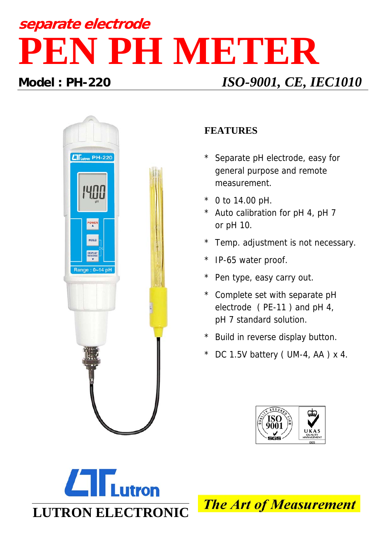# **separate electrode PEN PH METER**

## **Model : PH-220** *ISO-9001, CE, IEC1010*



### **FEATURES**

- Separate pH electrode, easy for general purpose and remote measurement.
- 0 to  $14.00$  pH.
- \* Auto calibration for pH 4, pH 7 or pH 10.
- Temp. adjustment is not necessary.
- IP-65 water proof.
- \* Pen type, easy carry out.
- \* Complete set with separate pH electrode ( PE-11 ) and pH 4, pH 7 standard solution.
- Build in reverse display button.
- DC 1.5V battery ( UM-4, AA )  $\times$  4.





**The Art of Measurement**